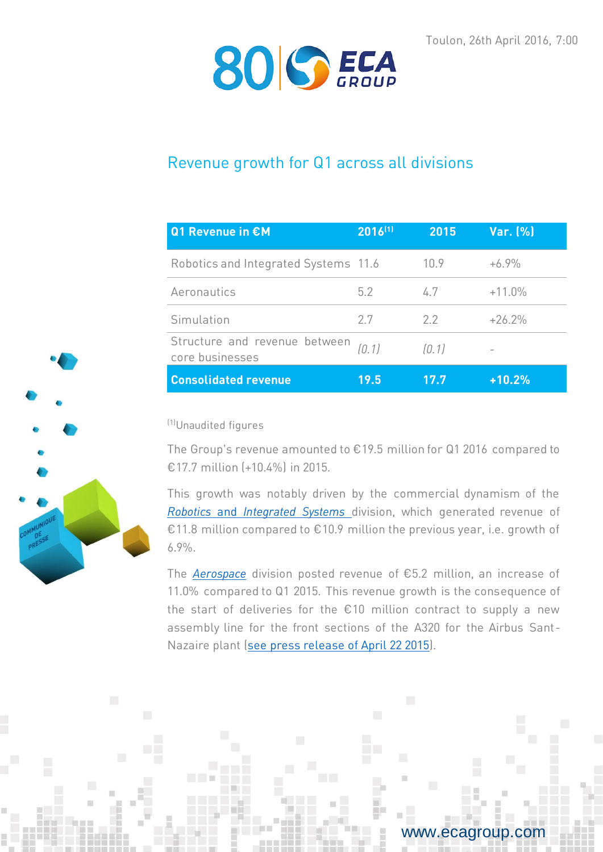

# Revenue growth for Q1 across all divisions

| Q1 Revenue in €M                                 | 2016(1) | 2015  | Var. (%) |
|--------------------------------------------------|---------|-------|----------|
| Robotics and Integrated Systems 11.6             |         | 109   | $+6.9%$  |
| Aeronautics                                      | 52      | 47    | $+11.0%$ |
| Simulation                                       | 27      | 22    | $+26.2%$ |
| Structure and revenue between<br>core businesses | (0.1)   | (0.1) |          |
| <b>Consolidated revenue</b>                      | 19.5    | 17.7  | $+10.2%$ |

(1)Unaudited figures

The Group's revenue amounted to €19.5 million for Q1 2016 compared to €17.7 million (+10.4%) in 2015.

This growth was notably driven by the commercial dynamism of the *Robotics* and *[Integrated Systems](http://www.ecagroup.com/en/robotic-and-integrated-systems)* division, which generated revenue of €11.8 million compared to €10.9 million the previous year, i.e. growth of 6.9%.

The *[Aerospace](http://www.ecagroup.com/en/aerospace)* division posted revenue of €5.2 million, an increase of 11.0% compared to Q1 2015. This revenue growth is the consequence of the start of deliveries for the  $£10$  million contract to supply a new assembly line for the front sections of the A320 for the Airbus Sant-Nazaire plant [\(see press release of April 22 2015\)](http://www.ecagroup.com/en/financial/eca-groups-aerospace-division-won-major-contract-over-eu10-million).

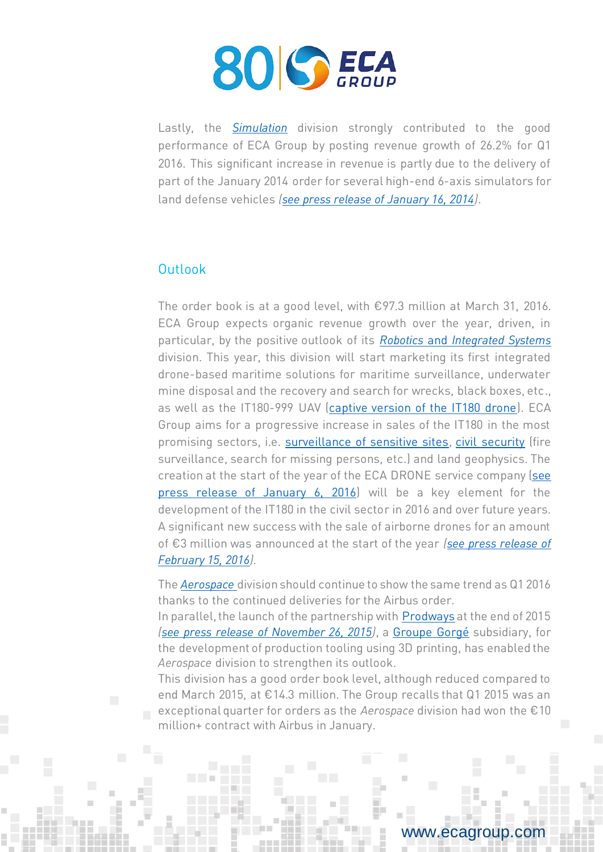

Lastly, the *[Simulation](http://www.ecagroup.com/en/training-simulation)* division strongly contributed to the good performance of ECA Group by posting revenue growth of 26.2% for Q1 2016. This significant increase in revenue is partly due to the delivery of part of the January 2014 order for several high-end 6-axis simulators for land defense vehicles *[\(see press release of January 16, 2014\)](http://www.ecagroup.com/en/financial/eca-sale-land-based-defense-simulators-internationally)*.

## **Outlook**

The order book is at a good level, with €97.3 million at March 31, 2016. ECA Group expects organic revenue growth over the year, driven, in particular, by the positive outlook of its *Robotics* and *[Integrated Systems](http://www.ecagroup.com/en/robotic-and-integrated-systems)* division. This year, this division will start marketing its first integrated drone-based maritime solutions for maritime surveillance, underwater mine disposal and the recovery and search for wrecks, black boxes, etc., as well as the IT180-999 UAV [\(captive version of the IT180 drone\)](http://www.ecagroup.com/en/solutions/tethered-uav-permanent-surveillance). ECA Group aims for a progressive increase in sales of the IT180 in the most promising sectors, i.e. [surveillance of sensitive sites,](http://www.ecagroup.com/en/solutions/mini-uav-surveillance) [civil security](http://www.ecagroup.com/en/solutions/mini-uav-civil-protection) (fire surveillance, search for missing persons, etc.) and land geophysics. The creation at the start of the year of the ECA DRONE service company (see [press release of January 6, 2016\)](http://www.ecagroup.com/en/financial/eca-group-announces-creation-service-company-dedicated-uavs-eca-drone) will be a key element for the development of the IT180 in the civil sector in 2016 and over future years. A significant new success with the sale of airborne drones for an amount of €3 million was announced at the start of the year *[\(see press release of](http://www.ecagroup.com/en/financial/uav-it180-significant-growth-sales-airborne-drones-beginning-year)  [February 15, 2016\)](http://www.ecagroup.com/en/financial/uav-it180-significant-growth-sales-airborne-drones-beginning-year).*

The *[Aerospace](http://www.ecagroup.com/en/aerospace)* division should continue to show the same trend as Q1 2016 thanks to the continued deliveries for the Airbus order.

In parallel, the launch of the partnership with [Prodways](http://www.prodways.com/fr/) at the end of 2015 *[\(see press release of November 26, 2015\)](http://www.ecagroup.com/en/financial/eca-group-partners-prodways-and-completes-additive-manufacturing-3d-printing-offer)*, a [Groupe Gorgé](http://www.groupe-gorge.com/) subsidiary, for the development of production tooling using 3D printing, has enabled the *Aerospace* division to strengthen its outlook.

This division has a good order book level, although reduced compared to end March 2015, at €14.3 million. The Group recalls that Q1 2015 was an exceptional quarter for orders as the *Aerospace* division had won the €10 million+ contract with Airbus in January.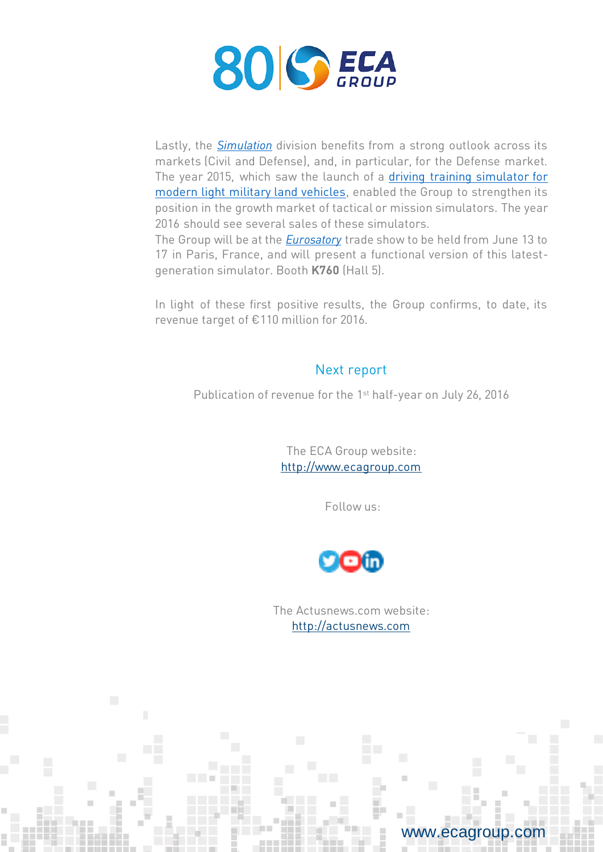

Lastly, the *[Simulation](http://www.ecagroup.com/en/training-simulation)* division benefits from a strong outlook across its markets (Civil and Defense), and, in particular, for the Defense market. The year 2015, which saw the launch of a [driving training simulator for](http://www.ecagroup.com/en/activities/military-simulators)  [modern light military land vehicles,](http://www.ecagroup.com/en/activities/military-simulators) enabled the Group to strengthen its position in the growth market of tactical or mission simulators. The year 2016 should see several sales of these simulators.

The Group will be at the *[Eurosatory](http://www.ecagroup.com/en/eurosatory-2016)* trade show to be held from June 13 to 17 in Paris, France, and will present a functional version of this latestgeneration simulator. Booth **K760** (Hall 5).

In light of these first positive results, the Group confirms, to date, its revenue target of €110 million for 2016.

## Next report

Publication of revenue for the 1<sup>st</sup> half-year on July 26, 2016

The ECA Group website: [http://www.ecagroup.com](http://www.ecagroup.com/)

Follow us:



The Actusnews.com website: [http://actusnews.com](http://actusnews.com/)